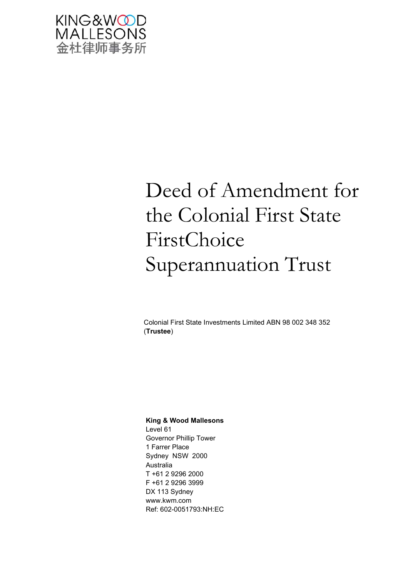

# Deed of Amendment for the Colonial First State FirstChoice Superannuation Trust

Colonial First State Investments Limited ABN 98 002 348 352 (**Trustee**)

#### **King & Wood Mallesons**

Level 61 Governor Phillip Tower 1 Farrer Place Sydney NSW 2000 Australia T +61 2 9296 2000 F +61 2 9296 3999 DX 113 Sydney www.kwm.com Ref: 602-0051793:NH:EC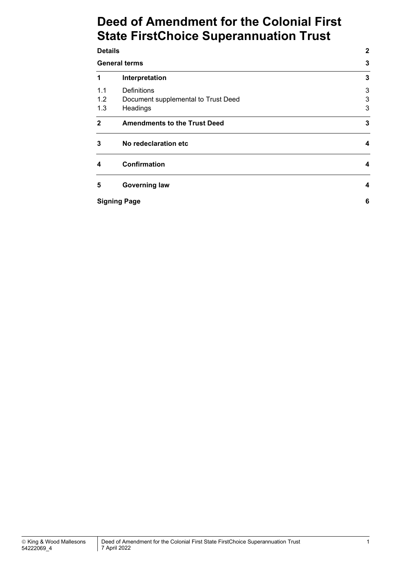# **Deed of Amendment for the Colonial First State FirstChoice Superannuation Trust**

| <b>Details</b>       | $\mathbf{2}$                        |   |
|----------------------|-------------------------------------|---|
| <b>General terms</b> |                                     | 3 |
| 1                    | Interpretation                      | 3 |
| 1.1                  | <b>Definitions</b>                  | 3 |
| 1.2                  | Document supplemental to Trust Deed | 3 |
| 1.3                  | Headings                            | 3 |
| $\mathbf{2}$         | <b>Amendments to the Trust Deed</b> | 3 |
| 3                    | No redeclaration etc                | 4 |
| 4                    | <b>Confirmation</b>                 | 4 |
| 5                    | <b>Governing law</b>                | 4 |
|                      | <b>Signing Page</b>                 | 6 |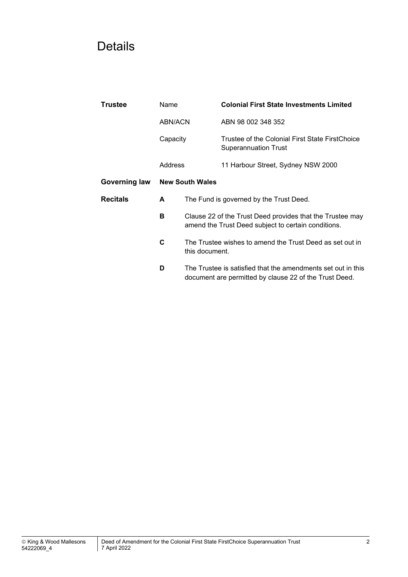# Details

| Trustee         | Name                   |                                                                                                                  | <b>Colonial First State Investments Limited</b>                                                                        |  |
|-----------------|------------------------|------------------------------------------------------------------------------------------------------------------|------------------------------------------------------------------------------------------------------------------------|--|
|                 | ABN/ACN                |                                                                                                                  | ABN 98 002 348 352                                                                                                     |  |
| Capacity        |                        |                                                                                                                  | Trustee of the Colonial First State FirstChoice<br><b>Superannuation Trust</b>                                         |  |
|                 | Address                |                                                                                                                  | 11 Harbour Street, Sydney NSW 2000                                                                                     |  |
| Governing law   | <b>New South Wales</b> |                                                                                                                  |                                                                                                                        |  |
| <b>Recitals</b> | A                      | The Fund is governed by the Trust Deed.                                                                          |                                                                                                                        |  |
|                 | в                      | Clause 22 of the Trust Deed provides that the Trustee may<br>amend the Trust Deed subject to certain conditions. |                                                                                                                        |  |
|                 | C                      | The Trustee wishes to amend the Trust Deed as set out in<br>this document.                                       |                                                                                                                        |  |
|                 | D                      |                                                                                                                  | The Trustee is satisfied that the amendments set out in this<br>document are permitted by clause 22 of the Trust Deed. |  |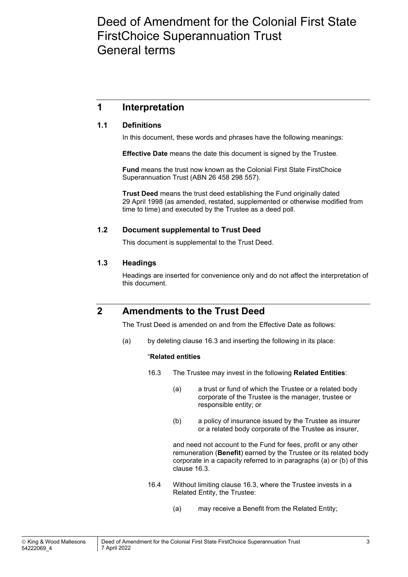## Deed of Amendment for the Colonial First State FirstChoice Superannuation Trust General terms

### **1 Interpretation**

#### **1.1 Definitions**

In this document, these words and phrases have the following meanings:

**Effective Date** means the date this document is signed by the Trustee.

**Fund** means the trust now known as the Colonial First State FirstChoice Superannuation Trust (ABN 26 458 298 557).

**Trust Deed** means the trust deed establishing the Fund originally dated 29 April 1998 (as amended, restated, supplemented or otherwise modified from time to time) and executed by the Trustee as a deed poll.

#### **1.2 Document supplemental to Trust Deed**

This document is supplemental to the Trust Deed.

#### **1.3 Headings**

Headings are inserted for convenience only and do not affect the interpretation of this document.

### **2 Amendments to the Trust Deed**

The Trust Deed is amended on and from the Effective Date as follows:

(a) by deleting clause 16.3 and inserting the following in its place:

#### "**Related entities**

- 16.3 The Trustee may invest in the following **Related Entities**:
	- (a) a trust or fund of which the Trustee or a related body corporate of the Trustee is the manager, trustee or responsible entity; or
	- (b) a policy of insurance issued by the Trustee as insurer or a related body corporate of the Trustee as insurer,

 and need not account to the Fund for fees, profit or any other remuneration (**Benefit**) earned by the Trustee or its related body corporate in a capacity referred to in paragraphs (a) or (b) of this clause 16.3.

- 16.4 Without limiting clause 16.3, where the Trustee invests in a Related Entity, the Trustee:
	- (a) may receive a Benefit from the Related Entity;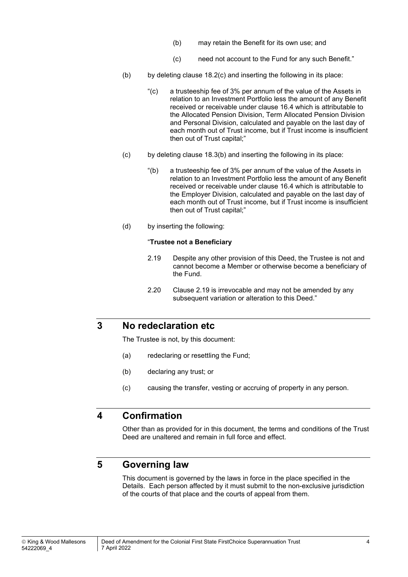- (b) may retain the Benefit for its own use; and
- (c) need not account to the Fund for any such Benefit."
- $(b)$  by deleting clause 18.2(c) and inserting the following in its place:
	- "(c) a trusteeship fee of 3% per annum of the value of the Assets in relation to an Investment Portfolio less the amount of any Benefit received or receivable under clause 16.4 which is attributable to the Allocated Pension Division, Term Allocated Pension Division and Personal Division, calculated and payable on the last day of each month out of Trust income, but if Trust income is insufficient then out of Trust capital;"
- (c) by deleting clause 18.3(b) and inserting the following in its place:
	- "(b) a trusteeship fee of 3% per annum of the value of the Assets in relation to an Investment Portfolio less the amount of any Benefit received or receivable under clause 16.4 which is attributable to the Employer Division, calculated and payable on the last day of each month out of Trust income, but if Trust income is insufficient then out of Trust capital;"
- (d) by inserting the following:

#### "**Trustee not a Beneficiary**

- 2.19 Despite any other provision of this Deed, the Trustee is not and cannot become a Member or otherwise become a beneficiary of the Fund.
- 2.20 Clause 2.19 is irrevocable and may not be amended by any subsequent variation or alteration to this Deed."

#### **3 No redeclaration etc**

The Trustee is not, by this document:

- (a) redeclaring or resettling the Fund;
- (b) declaring any trust; or
- (c) causing the transfer, vesting or accruing of property in any person.

### **4 Confirmation**

Other than as provided for in this document, the terms and conditions of the Trust Deed are unaltered and remain in full force and effect.

### **5 Governing law**

This document is governed by the laws in force in the place specified in the Details. Each person affected by it must submit to the non-exclusive jurisdiction of the courts of that place and the courts of appeal from them.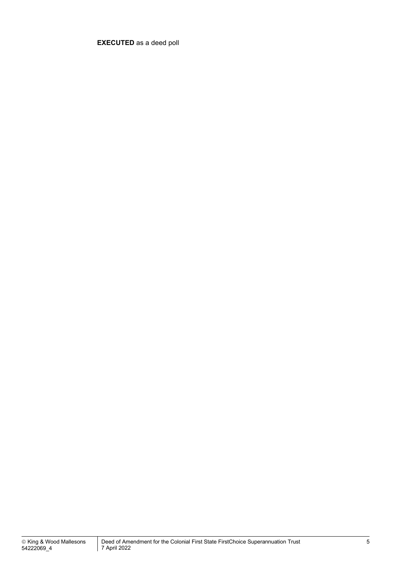**EXECUTED** as a deed poll